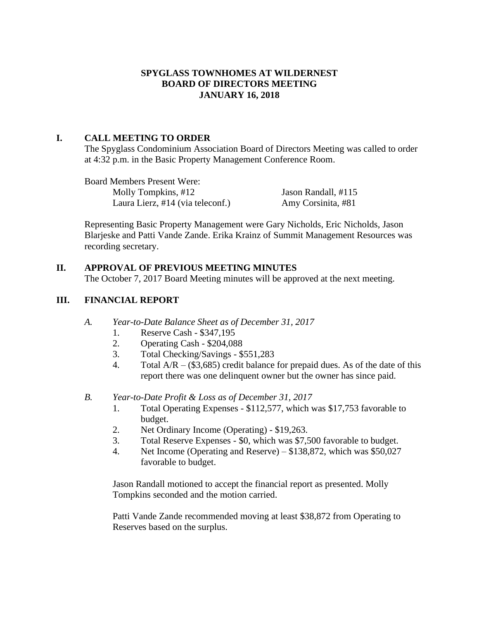## **SPYGLASS TOWNHOMES AT WILDERNEST BOARD OF DIRECTORS MEETING JANUARY 16, 2018**

## **I. CALL MEETING TO ORDER**

The Spyglass Condominium Association Board of Directors Meeting was called to order at 4:32 p.m. in the Basic Property Management Conference Room.

Board Members Present Were: Molly Tompkins, #12 Jason Randall, #115 Laura Lierz, #14 (via teleconf.) Amy Corsinita, #81

Representing Basic Property Management were Gary Nicholds, Eric Nicholds, Jason Blarjeske and Patti Vande Zande. Erika Krainz of Summit Management Resources was recording secretary.

# **II. APPROVAL OF PREVIOUS MEETING MINUTES**

The October 7, 2017 Board Meeting minutes will be approved at the next meeting.

# **III. FINANCIAL REPORT**

- *A. Year-to-Date Balance Sheet as of December 31, 2017*
	- 1. Reserve Cash \$347,195
	- 2. Operating Cash \$204,088
	- 3. Total Checking/Savings \$551,283
	- 4. Total  $A/R (\$3,685)$  credit balance for prepaid dues. As of the date of this report there was one delinquent owner but the owner has since paid.
- *B. Year-to-Date Profit & Loss as of December 31, 2017*
	- 1. Total Operating Expenses \$112,577, which was \$17,753 favorable to budget.
	- 2. Net Ordinary Income (Operating) \$19,263.
	- 3. Total Reserve Expenses \$0, which was \$7,500 favorable to budget.
	- 4. Net Income (Operating and Reserve) \$138,872, which was \$50,027 favorable to budget.

Jason Randall motioned to accept the financial report as presented. Molly Tompkins seconded and the motion carried.

Patti Vande Zande recommended moving at least \$38,872 from Operating to Reserves based on the surplus.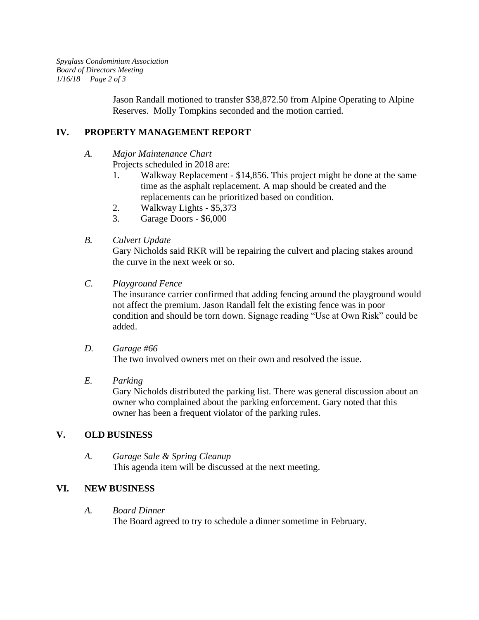*Spyglass Condominium Association Board of Directors Meeting 1/16/18 Page 2 of 3*

> Jason Randall motioned to transfer \$38,872.50 from Alpine Operating to Alpine Reserves. Molly Tompkins seconded and the motion carried.

## **IV. PROPERTY MANAGEMENT REPORT**

- *A. Major Maintenance Chart*
	- Projects scheduled in 2018 are:
		- 1. Walkway Replacement \$14,856. This project might be done at the same time as the asphalt replacement. A map should be created and the replacements can be prioritized based on condition.
		- 2. Walkway Lights \$5,373
		- 3. Garage Doors \$6,000
- *B. Culvert Update*

Gary Nicholds said RKR will be repairing the culvert and placing stakes around the curve in the next week or so.

*C. Playground Fence*

The insurance carrier confirmed that adding fencing around the playground would not affect the premium. Jason Randall felt the existing fence was in poor condition and should be torn down. Signage reading "Use at Own Risk" could be added.

*D. Garage #66*  The two involved owners met on their own and resolved the issue.

#### *E. Parking*

Gary Nicholds distributed the parking list. There was general discussion about an owner who complained about the parking enforcement. Gary noted that this owner has been a frequent violator of the parking rules.

#### **V. OLD BUSINESS**

*A. Garage Sale & Spring Cleanup* This agenda item will be discussed at the next meeting.

## **VI. NEW BUSINESS**

*A. Board Dinner*

The Board agreed to try to schedule a dinner sometime in February.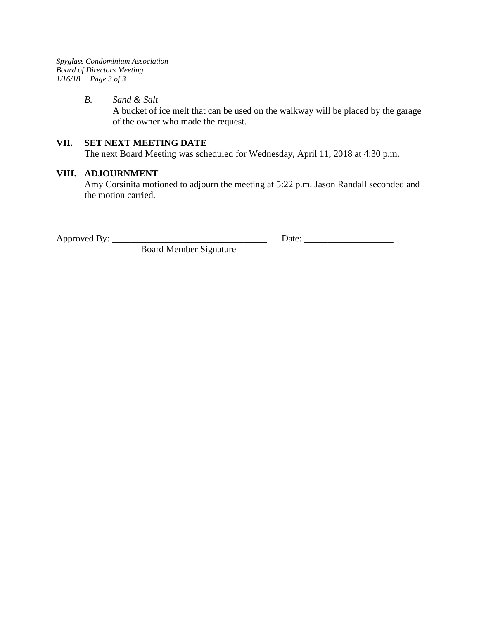*Spyglass Condominium Association Board of Directors Meeting 1/16/18 Page 3 of 3*

#### *B. Sand & Salt*

A bucket of ice melt that can be used on the walkway will be placed by the garage of the owner who made the request.

#### **VII. SET NEXT MEETING DATE**

The next Board Meeting was scheduled for Wednesday, April 11, 2018 at 4:30 p.m.

## **VIII. ADJOURNMENT**

Amy Corsinita motioned to adjourn the meeting at 5:22 p.m. Jason Randall seconded and the motion carried.

Board Member Signature

Approved By: \_\_\_\_\_\_\_\_\_\_\_\_\_\_\_\_\_\_\_\_\_\_\_\_\_\_\_\_\_\_\_\_\_ Date: \_\_\_\_\_\_\_\_\_\_\_\_\_\_\_\_\_\_\_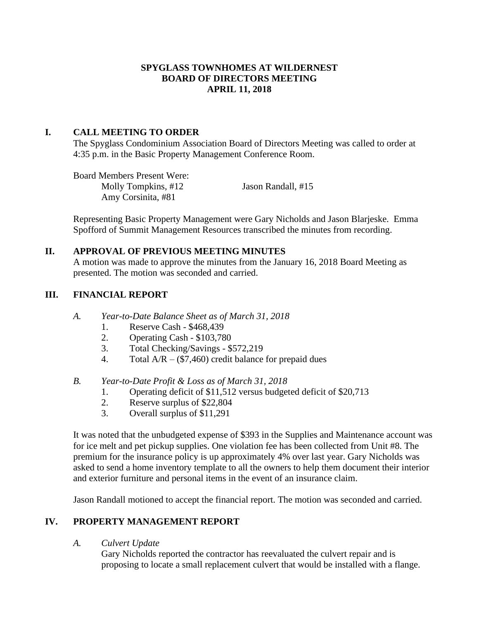#### **SPYGLASS TOWNHOMES AT WILDERNEST BOARD OF DIRECTORS MEETING APRIL 11, 2018**

#### **I. CALL MEETING TO ORDER**

The Spyglass Condominium Association Board of Directors Meeting was called to order at 4:35 p.m. in the Basic Property Management Conference Room.

Board Members Present Were: Molly Tompkins, #12 Jason Randall, #15 Amy Corsinita, #81

Representing Basic Property Management were Gary Nicholds and Jason Blarjeske. Emma Spofford of Summit Management Resources transcribed the minutes from recording.

#### **II. APPROVAL OF PREVIOUS MEETING MINUTES**

A motion was made to approve the minutes from the January 16, 2018 Board Meeting as presented. The motion was seconded and carried.

#### **III. FINANCIAL REPORT**

- *A. Year-to-Date Balance Sheet as of March 31, 2018*
	- 1. Reserve Cash \$468,439
	- 2. Operating Cash \$103,780
	- 3. Total Checking/Savings \$572,219
	- 4. Total  $A/R (\$7,460)$  credit balance for prepaid dues

#### *B. Year-to-Date Profit & Loss as of March 31, 2018*

- 1. Operating deficit of \$11,512 versus budgeted deficit of \$20,713
- 2. Reserve surplus of \$22,804
- 3. Overall surplus of \$11,291

It was noted that the unbudgeted expense of \$393 in the Supplies and Maintenance account was for ice melt and pet pickup supplies. One violation fee has been collected from Unit #8. The premium for the insurance policy is up approximately 4% over last year. Gary Nicholds was asked to send a home inventory template to all the owners to help them document their interior and exterior furniture and personal items in the event of an insurance claim.

Jason Randall motioned to accept the financial report. The motion was seconded and carried.

## **IV. PROPERTY MANAGEMENT REPORT**

*A. Culvert Update*

Gary Nicholds reported the contractor has reevaluated the culvert repair and is proposing to locate a small replacement culvert that would be installed with a flange.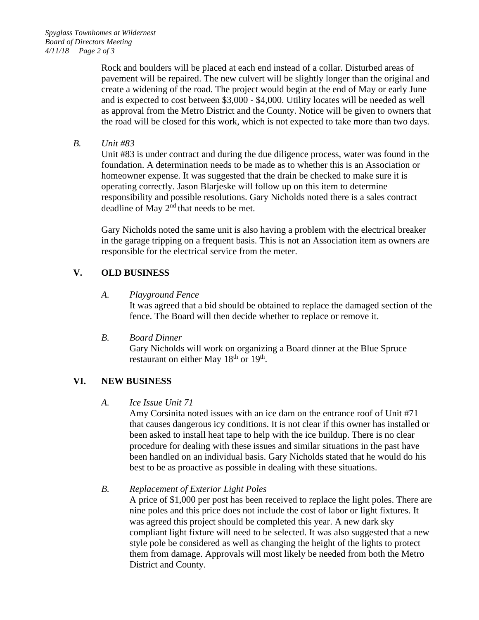Rock and boulders will be placed at each end instead of a collar. Disturbed areas of pavement will be repaired. The new culvert will be slightly longer than the original and create a widening of the road. The project would begin at the end of May or early June and is expected to cost between \$3,000 - \$4,000. Utility locates will be needed as well as approval from the Metro District and the County. Notice will be given to owners that the road will be closed for this work, which is not expected to take more than two days.

*B. Unit #83*

Unit #83 is under contract and during the due diligence process, water was found in the foundation. A determination needs to be made as to whether this is an Association or homeowner expense. It was suggested that the drain be checked to make sure it is operating correctly. Jason Blarjeske will follow up on this item to determine responsibility and possible resolutions. Gary Nicholds noted there is a sales contract deadline of May 2<sup>nd</sup> that needs to be met.

Gary Nicholds noted the same unit is also having a problem with the electrical breaker in the garage tripping on a frequent basis. This is not an Association item as owners are responsible for the electrical service from the meter.

## **V. OLD BUSINESS**

*A. Playground Fence*

It was agreed that a bid should be obtained to replace the damaged section of the fence. The Board will then decide whether to replace or remove it.

*B. Board Dinner*

Gary Nicholds will work on organizing a Board dinner at the Blue Spruce restaurant on either May  $18<sup>th</sup>$  or  $19<sup>th</sup>$ .

# **VI. NEW BUSINESS**

## *A. Ice Issue Unit 71*

Amy Corsinita noted issues with an ice dam on the entrance roof of Unit #71 that causes dangerous icy conditions. It is not clear if this owner has installed or been asked to install heat tape to help with the ice buildup. There is no clear procedure for dealing with these issues and similar situations in the past have been handled on an individual basis. Gary Nicholds stated that he would do his best to be as proactive as possible in dealing with these situations.

*B. Replacement of Exterior Light Poles*

A price of \$1,000 per post has been received to replace the light poles. There are nine poles and this price does not include the cost of labor or light fixtures. It was agreed this project should be completed this year. A new dark sky compliant light fixture will need to be selected. It was also suggested that a new style pole be considered as well as changing the height of the lights to protect them from damage. Approvals will most likely be needed from both the Metro District and County.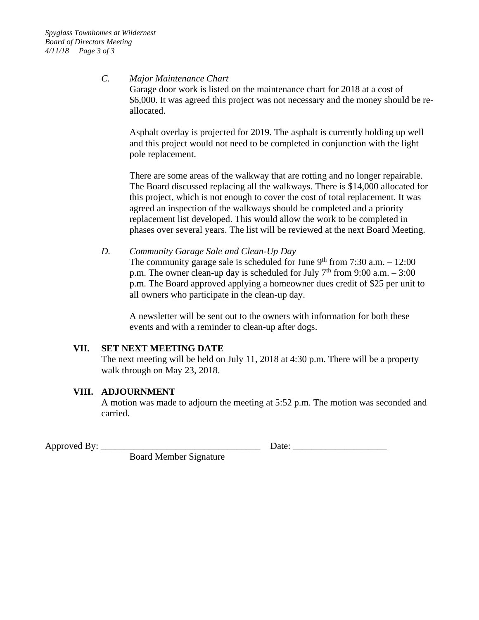#### *C. Major Maintenance Chart*

Garage door work is listed on the maintenance chart for 2018 at a cost of \$6,000. It was agreed this project was not necessary and the money should be reallocated.

Asphalt overlay is projected for 2019. The asphalt is currently holding up well and this project would not need to be completed in conjunction with the light pole replacement.

There are some areas of the walkway that are rotting and no longer repairable. The Board discussed replacing all the walkways. There is \$14,000 allocated for this project, which is not enough to cover the cost of total replacement. It was agreed an inspection of the walkways should be completed and a priority replacement list developed. This would allow the work to be completed in phases over several years. The list will be reviewed at the next Board Meeting.

*D. Community Garage Sale and Clean-Up Day*

The community garage sale is scheduled for June  $9<sup>th</sup>$  from 7:30 a.m.  $-12:00$ p.m. The owner clean-up day is scheduled for July  $7<sup>th</sup>$  from 9:00 a.m. – 3:00 p.m. The Board approved applying a homeowner dues credit of \$25 per unit to all owners who participate in the clean-up day.

A newsletter will be sent out to the owners with information for both these events and with a reminder to clean-up after dogs.

## **VII. SET NEXT MEETING DATE**

The next meeting will be held on July 11, 2018 at 4:30 p.m. There will be a property walk through on May 23, 2018.

#### **VIII. ADJOURNMENT**

A motion was made to adjourn the meeting at 5:52 p.m. The motion was seconded and carried.

Approved By: \_\_\_\_\_\_\_\_\_\_\_\_\_\_\_\_\_\_\_\_\_\_\_\_\_\_\_\_\_\_\_\_\_\_ Date: \_\_\_\_\_\_\_\_\_\_\_\_\_\_\_\_\_\_\_\_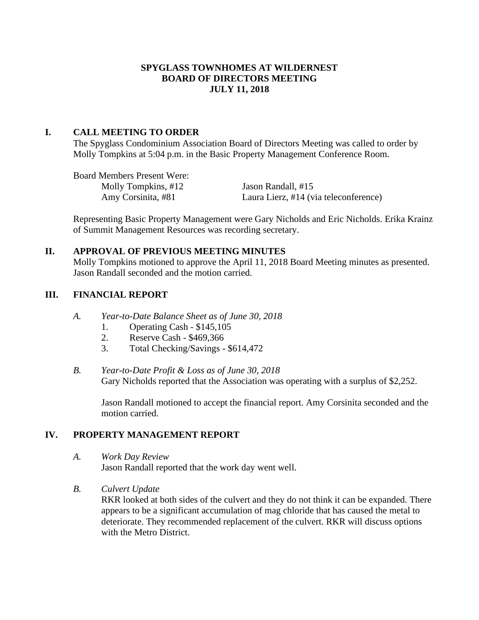#### **SPYGLASS TOWNHOMES AT WILDERNEST BOARD OF DIRECTORS MEETING JULY 11, 2018**

#### **I. CALL MEETING TO ORDER**

The Spyglass Condominium Association Board of Directors Meeting was called to order by Molly Tompkins at 5:04 p.m. in the Basic Property Management Conference Room.

Board Members Present Were: Molly Tompkins, #12 Jason Randall, #15

Amy Corsinita, #81 Laura Lierz, #14 (via teleconference)

Representing Basic Property Management were Gary Nicholds and Eric Nicholds. Erika Krainz of Summit Management Resources was recording secretary.

#### **II. APPROVAL OF PREVIOUS MEETING MINUTES**

Molly Tompkins motioned to approve the April 11, 2018 Board Meeting minutes as presented. Jason Randall seconded and the motion carried.

## **III. FINANCIAL REPORT**

- *A. Year-to-Date Balance Sheet as of June 30, 2018*
	- 1. Operating Cash \$145,105
	- 2. Reserve Cash \$469,366
	- 3. Total Checking/Savings \$614,472
- *B. Year-to-Date Profit & Loss as of June 30, 2018* Gary Nicholds reported that the Association was operating with a surplus of \$2,252.

Jason Randall motioned to accept the financial report. Amy Corsinita seconded and the motion carried.

## **IV. PROPERTY MANAGEMENT REPORT**

*A. Work Day Review*

Jason Randall reported that the work day went well.

*B. Culvert Update*

RKR looked at both sides of the culvert and they do not think it can be expanded. There appears to be a significant accumulation of mag chloride that has caused the metal to deteriorate. They recommended replacement of the culvert. RKR will discuss options with the Metro District.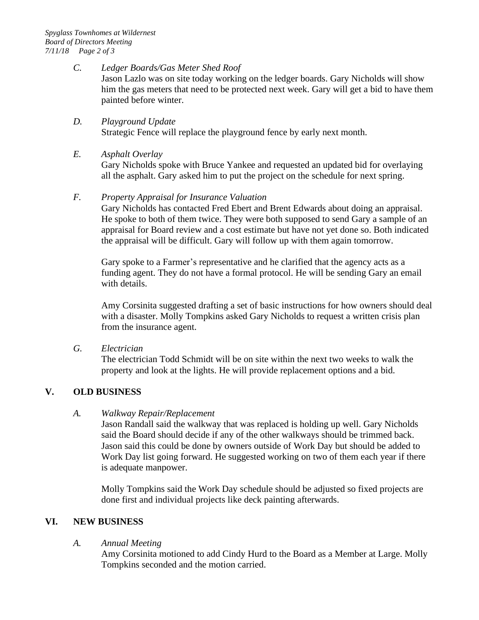#### *C. Ledger Boards/Gas Meter Shed Roof*

Jason Lazlo was on site today working on the ledger boards. Gary Nicholds will show him the gas meters that need to be protected next week. Gary will get a bid to have them painted before winter.

#### *D. Playground Update*

Strategic Fence will replace the playground fence by early next month.

#### *E. Asphalt Overlay*

Gary Nicholds spoke with Bruce Yankee and requested an updated bid for overlaying all the asphalt. Gary asked him to put the project on the schedule for next spring.

#### *F. Property Appraisal for Insurance Valuation*

Gary Nicholds has contacted Fred Ebert and Brent Edwards about doing an appraisal. He spoke to both of them twice. They were both supposed to send Gary a sample of an appraisal for Board review and a cost estimate but have not yet done so. Both indicated the appraisal will be difficult. Gary will follow up with them again tomorrow.

Gary spoke to a Farmer's representative and he clarified that the agency acts as a funding agent. They do not have a formal protocol. He will be sending Gary an email with details.

Amy Corsinita suggested drafting a set of basic instructions for how owners should deal with a disaster. Molly Tompkins asked Gary Nicholds to request a written crisis plan from the insurance agent.

*G. Electrician*

The electrician Todd Schmidt will be on site within the next two weeks to walk the property and look at the lights. He will provide replacement options and a bid.

## **V. OLD BUSINESS**

#### *A. Walkway Repair/Replacement*

Jason Randall said the walkway that was replaced is holding up well. Gary Nicholds said the Board should decide if any of the other walkways should be trimmed back. Jason said this could be done by owners outside of Work Day but should be added to Work Day list going forward. He suggested working on two of them each year if there is adequate manpower.

Molly Tompkins said the Work Day schedule should be adjusted so fixed projects are done first and individual projects like deck painting afterwards.

## **VI. NEW BUSINESS**

#### *A. Annual Meeting*

Amy Corsinita motioned to add Cindy Hurd to the Board as a Member at Large. Molly Tompkins seconded and the motion carried.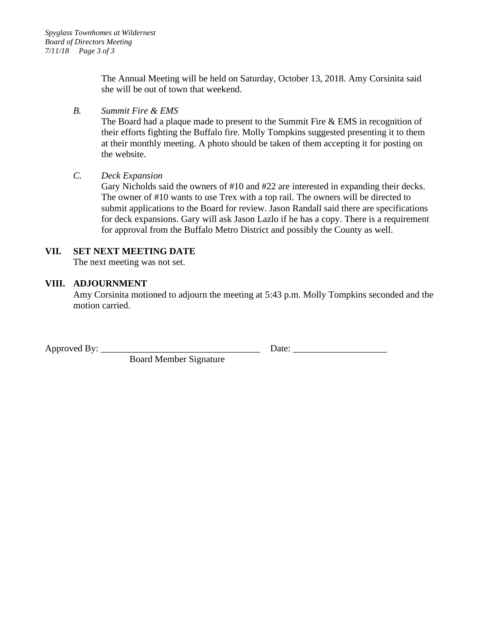The Annual Meeting will be held on Saturday, October 13, 2018. Amy Corsinita said she will be out of town that weekend.

## *B. Summit Fire & EMS*

The Board had a plaque made to present to the Summit Fire & EMS in recognition of their efforts fighting the Buffalo fire. Molly Tompkins suggested presenting it to them at their monthly meeting. A photo should be taken of them accepting it for posting on the website.

#### *C. Deck Expansion*

Gary Nicholds said the owners of #10 and #22 are interested in expanding their decks. The owner of #10 wants to use Trex with a top rail. The owners will be directed to submit applications to the Board for review. Jason Randall said there are specifications for deck expansions. Gary will ask Jason Lazlo if he has a copy. There is a requirement for approval from the Buffalo Metro District and possibly the County as well.

# **VII. SET NEXT MEETING DATE**

The next meeting was not set.

#### **VIII. ADJOURNMENT**

Amy Corsinita motioned to adjourn the meeting at 5:43 p.m. Molly Tompkins seconded and the motion carried.

Approved By: \_\_\_\_\_\_\_\_\_\_\_\_\_\_\_\_\_\_\_\_\_\_\_\_\_\_\_\_\_\_\_\_\_\_ Date: \_\_\_\_\_\_\_\_\_\_\_\_\_\_\_\_\_\_\_\_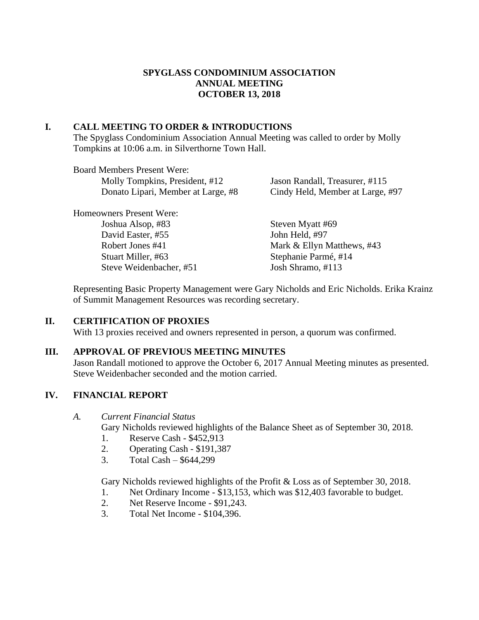## **SPYGLASS CONDOMINIUM ASSOCIATION ANNUAL MEETING OCTOBER 13, 2018**

## **I. CALL MEETING TO ORDER & INTRODUCTIONS**

The Spyglass Condominium Association Annual Meeting was called to order by Molly Tompkins at 10:06 a.m. in Silverthorne Town Hall.

| <b>Board Members Present Were:</b> |                                  |
|------------------------------------|----------------------------------|
| Molly Tompkins, President, #12     | Jason Randall, Treasurer, #115   |
| Donato Lipari, Member at Large, #8 | Cindy Held, Member at Large, #97 |
| <b>Homeowners Present Were:</b>    |                                  |
| Joshua Alsop, #83                  | Steven Myatt #69                 |
| David Easter, #55                  | John Held, #97                   |
| Robert Jones #41                   | Mark & Ellyn Matthews, #43       |
| Stuart Miller, #63                 | Stephanie Parmé, #14             |
| Steve Weidenbacher, #51            | Josh Shramo, #113                |
|                                    |                                  |

Representing Basic Property Management were Gary Nicholds and Eric Nicholds. Erika Krainz of Summit Management Resources was recording secretary.

## **II. CERTIFICATION OF PROXIES**

With 13 proxies received and owners represented in person, a quorum was confirmed.

#### **III. APPROVAL OF PREVIOUS MEETING MINUTES**

Jason Randall motioned to approve the October 6, 2017 Annual Meeting minutes as presented. Steve Weidenbacher seconded and the motion carried.

## **IV. FINANCIAL REPORT**

*A. Current Financial Status*

Gary Nicholds reviewed highlights of the Balance Sheet as of September 30, 2018.

- 1. Reserve Cash \$452,913
- 2. Operating Cash \$191,387
- 3. Total Cash \$644,299

Gary Nicholds reviewed highlights of the Profit & Loss as of September 30, 2018.

- 1. Net Ordinary Income \$13,153, which was \$12,403 favorable to budget.
- 2. Net Reserve Income \$91,243.
- 3. Total Net Income \$104,396.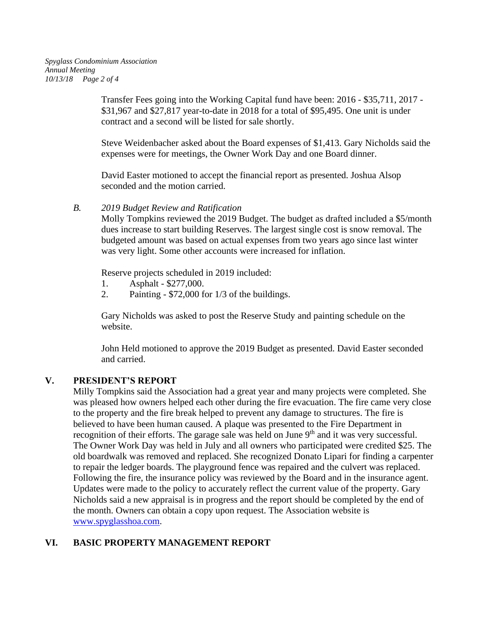Transfer Fees going into the Working Capital fund have been: 2016 - \$35,711, 2017 - \$31,967 and \$27,817 year-to-date in 2018 for a total of \$95,495. One unit is under contract and a second will be listed for sale shortly.

Steve Weidenbacher asked about the Board expenses of \$1,413. Gary Nicholds said the expenses were for meetings, the Owner Work Day and one Board dinner.

David Easter motioned to accept the financial report as presented. Joshua Alsop seconded and the motion carried.

#### *B. 2019 Budget Review and Ratification*

Molly Tompkins reviewed the 2019 Budget. The budget as drafted included a \$5/month dues increase to start building Reserves. The largest single cost is snow removal. The budgeted amount was based on actual expenses from two years ago since last winter was very light. Some other accounts were increased for inflation.

Reserve projects scheduled in 2019 included:

- 1. Asphalt \$277,000.
- 2. Painting \$72,000 for 1/3 of the buildings.

Gary Nicholds was asked to post the Reserve Study and painting schedule on the website.

John Held motioned to approve the 2019 Budget as presented. David Easter seconded and carried.

## **V. PRESIDENT'S REPORT**

Milly Tompkins said the Association had a great year and many projects were completed. She was pleased how owners helped each other during the fire evacuation. The fire came very close to the property and the fire break helped to prevent any damage to structures. The fire is believed to have been human caused. A plaque was presented to the Fire Department in recognition of their efforts. The garage sale was held on June 9<sup>th</sup> and it was very successful. The Owner Work Day was held in July and all owners who participated were credited \$25. The old boardwalk was removed and replaced. She recognized Donato Lipari for finding a carpenter to repair the ledger boards. The playground fence was repaired and the culvert was replaced. Following the fire, the insurance policy was reviewed by the Board and in the insurance agent. Updates were made to the policy to accurately reflect the current value of the property. Gary Nicholds said a new appraisal is in progress and the report should be completed by the end of the month. Owners can obtain a copy upon request. The Association website is [www.spyglasshoa.com.](http://www.spyglasshoa.com/)

# **VI. BASIC PROPERTY MANAGEMENT REPORT**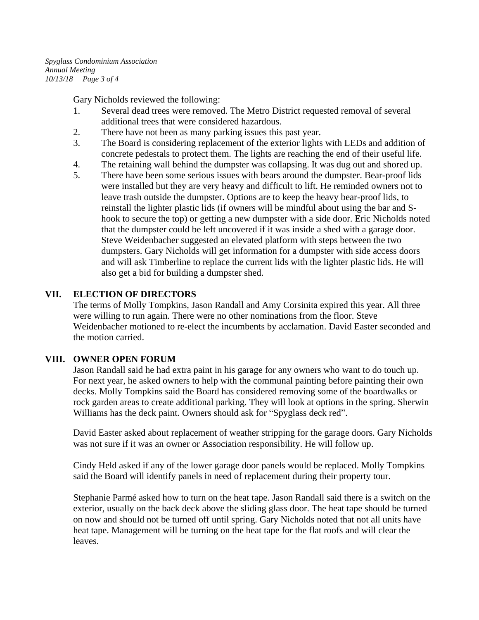*Spyglass Condominium Association Annual Meeting 10/13/18 Page 3 of 4*

Gary Nicholds reviewed the following:

- 1. Several dead trees were removed. The Metro District requested removal of several additional trees that were considered hazardous.
- 2. There have not been as many parking issues this past year.
- 3. The Board is considering replacement of the exterior lights with LEDs and addition of concrete pedestals to protect them. The lights are reaching the end of their useful life.
- 4. The retaining wall behind the dumpster was collapsing. It was dug out and shored up.
- 5. There have been some serious issues with bears around the dumpster. Bear-proof lids were installed but they are very heavy and difficult to lift. He reminded owners not to leave trash outside the dumpster. Options are to keep the heavy bear-proof lids, to reinstall the lighter plastic lids (if owners will be mindful about using the bar and Shook to secure the top) or getting a new dumpster with a side door. Eric Nicholds noted that the dumpster could be left uncovered if it was inside a shed with a garage door. Steve Weidenbacher suggested an elevated platform with steps between the two dumpsters. Gary Nicholds will get information for a dumpster with side access doors and will ask Timberline to replace the current lids with the lighter plastic lids. He will also get a bid for building a dumpster shed.

#### **VII. ELECTION OF DIRECTORS**

The terms of Molly Tompkins, Jason Randall and Amy Corsinita expired this year. All three were willing to run again. There were no other nominations from the floor. Steve Weidenbacher motioned to re-elect the incumbents by acclamation. David Easter seconded and the motion carried.

#### **VIII. OWNER OPEN FORUM**

Jason Randall said he had extra paint in his garage for any owners who want to do touch up. For next year, he asked owners to help with the communal painting before painting their own decks. Molly Tompkins said the Board has considered removing some of the boardwalks or rock garden areas to create additional parking. They will look at options in the spring. Sherwin Williams has the deck paint. Owners should ask for "Spyglass deck red".

David Easter asked about replacement of weather stripping for the garage doors. Gary Nicholds was not sure if it was an owner or Association responsibility. He will follow up.

Cindy Held asked if any of the lower garage door panels would be replaced. Molly Tompkins said the Board will identify panels in need of replacement during their property tour.

Stephanie Parmé asked how to turn on the heat tape. Jason Randall said there is a switch on the exterior, usually on the back deck above the sliding glass door. The heat tape should be turned on now and should not be turned off until spring. Gary Nicholds noted that not all units have heat tape. Management will be turning on the heat tape for the flat roofs and will clear the leaves.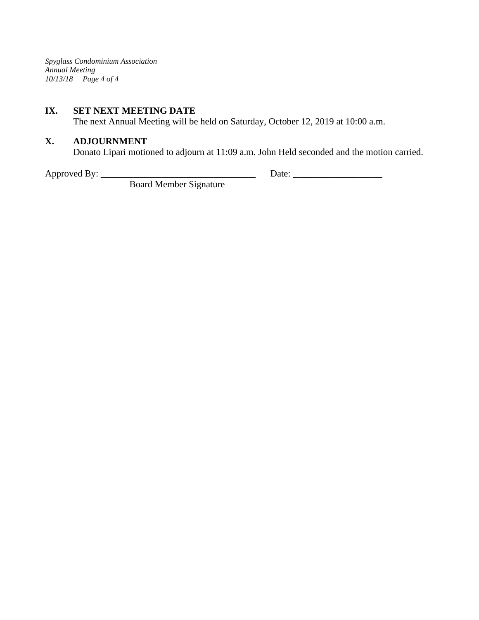*Spyglass Condominium Association Annual Meeting 10/13/18 Page 4 of 4*

#### **IX. SET NEXT MEETING DATE**

The next Annual Meeting will be held on Saturday, October 12, 2019 at 10:00 a.m.

## **X. ADJOURNMENT**

Donato Lipari motioned to adjourn at 11:09 a.m. John Held seconded and the motion carried.

Approved By: \_\_\_\_\_\_\_\_\_\_\_\_\_\_\_\_\_\_\_\_\_\_\_\_\_\_\_\_\_\_\_\_\_ Date: \_\_\_\_\_\_\_\_\_\_\_\_\_\_\_\_\_\_\_